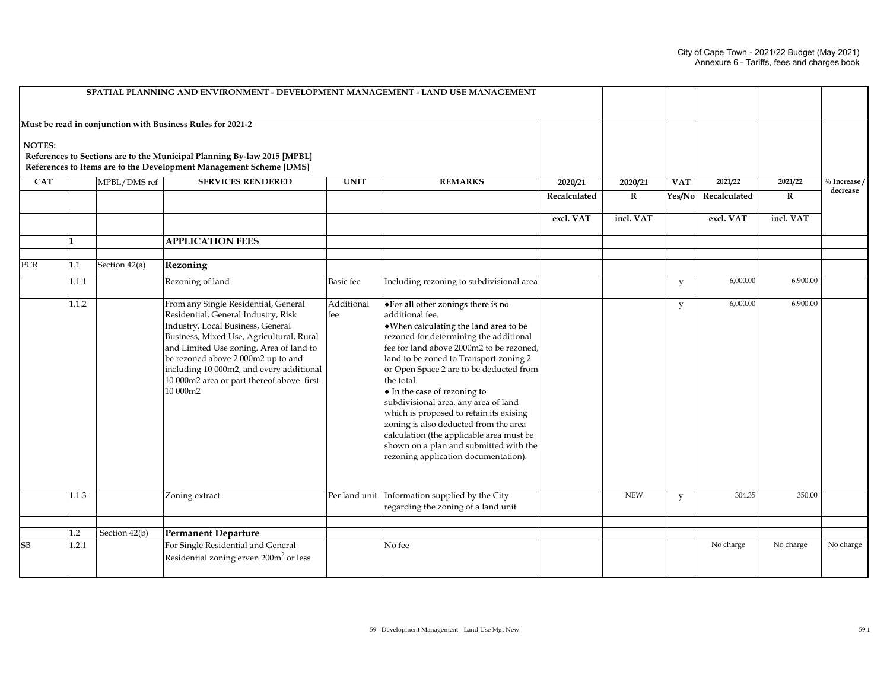|               |         |               | SPATIAL PLANNING AND ENVIRONMENT - DEVELOPMENT MANAGEMENT - LAND USE MANAGEMENT                                                                                                                                                                                                                                                                   |                    |                                                                                                                                                                                                                                                                                                                                                                                                                                                                                                                                                                                     |              |             |            |              |             |              |
|---------------|---------|---------------|---------------------------------------------------------------------------------------------------------------------------------------------------------------------------------------------------------------------------------------------------------------------------------------------------------------------------------------------------|--------------------|-------------------------------------------------------------------------------------------------------------------------------------------------------------------------------------------------------------------------------------------------------------------------------------------------------------------------------------------------------------------------------------------------------------------------------------------------------------------------------------------------------------------------------------------------------------------------------------|--------------|-------------|------------|--------------|-------------|--------------|
|               |         |               | Must be read in conjunction with Business Rules for 2021-2                                                                                                                                                                                                                                                                                        |                    |                                                                                                                                                                                                                                                                                                                                                                                                                                                                                                                                                                                     |              |             |            |              |             |              |
| <b>NOTES:</b> |         |               | References to Sections are to the Municipal Planning By-law 2015 [MPBL]<br>References to Items are to the Development Management Scheme [DMS]                                                                                                                                                                                                     |                    |                                                                                                                                                                                                                                                                                                                                                                                                                                                                                                                                                                                     |              |             |            |              |             |              |
| <b>CAT</b>    |         | MPBL/DMS ref  | <b>SERVICES RENDERED</b>                                                                                                                                                                                                                                                                                                                          | <b>UNIT</b>        | <b>REMARKS</b>                                                                                                                                                                                                                                                                                                                                                                                                                                                                                                                                                                      | 2020/21      | 2020/21     | <b>VAT</b> | 2021/22      | 2021/22     | % Increase / |
|               |         |               |                                                                                                                                                                                                                                                                                                                                                   |                    |                                                                                                                                                                                                                                                                                                                                                                                                                                                                                                                                                                                     | Recalculated | $\mathbf R$ | Yes/No     | Recalculated | $\mathbf R$ | decrease     |
|               |         |               |                                                                                                                                                                                                                                                                                                                                                   |                    |                                                                                                                                                                                                                                                                                                                                                                                                                                                                                                                                                                                     | excl. VAT    | incl. VAT   |            | excl. VAT    | incl. VAT   |              |
|               |         |               | <b>APPLICATION FEES</b>                                                                                                                                                                                                                                                                                                                           |                    |                                                                                                                                                                                                                                                                                                                                                                                                                                                                                                                                                                                     |              |             |            |              |             |              |
| PCR           | $1.1\,$ | Section 42(a) | Rezoning                                                                                                                                                                                                                                                                                                                                          |                    |                                                                                                                                                                                                                                                                                                                                                                                                                                                                                                                                                                                     |              |             |            |              |             |              |
|               | 1.1.1   |               | Rezoning of land                                                                                                                                                                                                                                                                                                                                  | <b>Basic</b> fee   | Including rezoning to subdivisional area                                                                                                                                                                                                                                                                                                                                                                                                                                                                                                                                            |              |             | y          | 6,000.00     | 6,900.00    |              |
|               | 1.1.2   |               | From any Single Residential, General<br>Residential, General Industry, Risk<br>Industry, Local Business, General<br>Business, Mixed Use, Agricultural, Rural<br>and Limited Use zoning. Area of land to<br>be rezoned above 2000m2 up to and<br>including 10 000m2, and every additional<br>10 000m2 area or part thereof above first<br>10 000m2 | Additional<br>lfee | . For all other zonings there is no<br>additional fee.<br>. When calculating the land area to be<br>rezoned for determining the additional<br>fee for land above 2000m2 to be rezoned,<br>land to be zoned to Transport zoning 2<br>or Open Space 2 are to be deducted from<br>the total.<br>• In the case of rezoning to<br>subdivisional area, any area of land<br>which is proposed to retain its exising<br>zoning is also deducted from the area<br>calculation (the applicable area must be<br>shown on a plan and submitted with the<br>rezoning application documentation). |              |             | y          | 6,000.00     | 6,900.00    |              |
|               | 1.1.3   |               | Zoning extract                                                                                                                                                                                                                                                                                                                                    |                    | Per land unit   Information supplied by the City<br>regarding the zoning of a land unit                                                                                                                                                                                                                                                                                                                                                                                                                                                                                             |              | <b>NEW</b>  | y          | 304.35       | 350.00      |              |
|               | 1.2     | Section 42(b) | <b>Permanent Departure</b>                                                                                                                                                                                                                                                                                                                        |                    |                                                                                                                                                                                                                                                                                                                                                                                                                                                                                                                                                                                     |              |             |            |              |             |              |
| SB            | 1.2.1   |               | For Single Residential and General<br>Residential zoning erven 200m <sup>2</sup> or less                                                                                                                                                                                                                                                          |                    | No fee                                                                                                                                                                                                                                                                                                                                                                                                                                                                                                                                                                              |              |             |            | No charge    | No charge   | No charge    |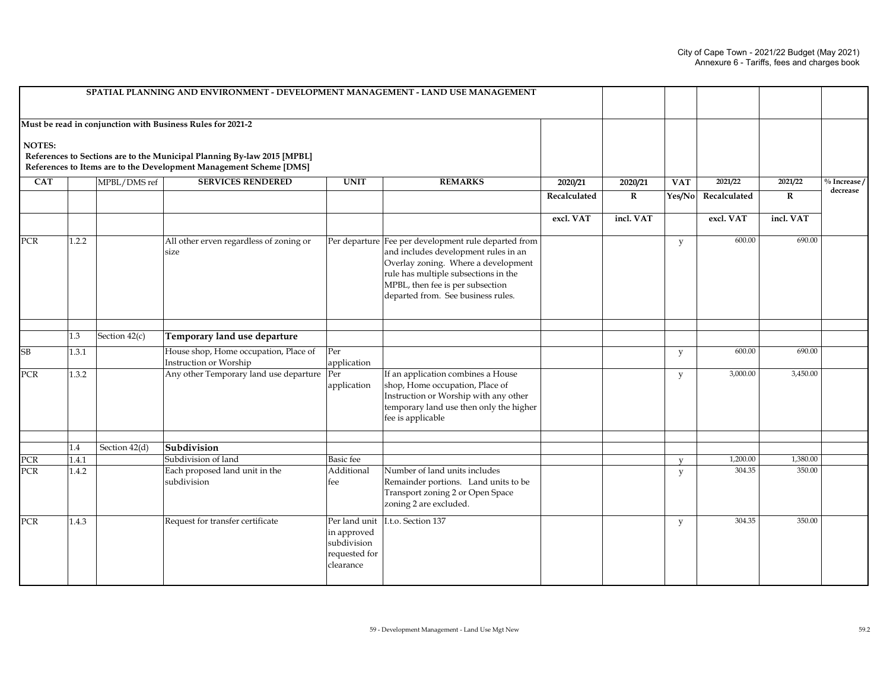|                         |                                                            | SPATIAL PLANNING AND ENVIRONMENT - DEVELOPMENT MANAGEMENT - LAND USE MANAGEMENT                                                               |                                                                           |                                                                                                                                                                                                                                                       |              |             |              |              |             |                |
|-------------------------|------------------------------------------------------------|-----------------------------------------------------------------------------------------------------------------------------------------------|---------------------------------------------------------------------------|-------------------------------------------------------------------------------------------------------------------------------------------------------------------------------------------------------------------------------------------------------|--------------|-------------|--------------|--------------|-------------|----------------|
|                         | Must be read in conjunction with Business Rules for 2021-2 |                                                                                                                                               |                                                                           |                                                                                                                                                                                                                                                       |              |             |              |              |             |                |
| <b>NOTES:</b>           |                                                            | References to Sections are to the Municipal Planning By-law 2015 [MPBL]<br>References to Items are to the Development Management Scheme [DMS] |                                                                           |                                                                                                                                                                                                                                                       |              |             |              |              |             |                |
| $\overline{\text{CAT}}$ | MPBL/DMS ref                                               | <b>SERVICES RENDERED</b>                                                                                                                      | <b>UNIT</b>                                                               | <b>REMARKS</b>                                                                                                                                                                                                                                        | 2020/21      | 2020/21     | <b>VAT</b>   | 2021/22      | 2021/22     | $%$ Increase / |
|                         |                                                            |                                                                                                                                               |                                                                           |                                                                                                                                                                                                                                                       | Recalculated | $\mathbf R$ | Yes/No       | Recalculated | $\mathbf R$ | decrease       |
|                         |                                                            |                                                                                                                                               |                                                                           |                                                                                                                                                                                                                                                       | excl. VAT    | incl. VAT   |              | excl. VAT    | incl. VAT   |                |
| PCR                     | 1.2.2                                                      | All other erven regardless of zoning or<br>size                                                                                               |                                                                           | Per departure Fee per development rule departed from<br>and includes development rules in an<br>Overlay zoning. Where a development<br>rule has multiple subsections in the<br>MPBL, then fee is per subsection<br>departed from. See business rules. |              |             | y            | 600.00       | 690.00      |                |
|                         | Section $42(c)$<br>1.3                                     | Temporary land use departure                                                                                                                  |                                                                           |                                                                                                                                                                                                                                                       |              |             |              |              |             |                |
| SВ                      | 1.3.1                                                      | House shop, Home occupation, Place of<br>Instruction or Worship                                                                               | Per<br>application                                                        |                                                                                                                                                                                                                                                       |              |             | y            | 600.00       | 690.00      |                |
| PCR                     | 1.3.2                                                      | Any other Temporary land use departure                                                                                                        | Per<br>application                                                        | If an application combines a House<br>shop, Home occupation, Place of<br>Instruction or Worship with any other<br>temporary land use then only the higher<br>fee is applicable                                                                        |              |             | У            | 3,000.00     | 3,450.00    |                |
|                         | 1.4<br>Section 42(d)                                       | Subdivision                                                                                                                                   |                                                                           |                                                                                                                                                                                                                                                       |              |             |              |              |             |                |
| PCR                     | 1.4.1                                                      | Subdivision of land                                                                                                                           | Basic fee                                                                 |                                                                                                                                                                                                                                                       |              |             | $\mathbf{V}$ | 1,200.00     | 1,380.00    |                |
| PCR                     | 1.4.2                                                      | Each proposed land unit in the<br>subdivision                                                                                                 | Additional<br>fee                                                         | Number of land units includes<br>Remainder portions. Land units to be<br>Transport zoning 2 or Open Space<br>zoning 2 are excluded.                                                                                                                   |              |             | y            | 304.35       | 350.00      |                |
| <b>PCR</b>              | 1.4.3                                                      | Request for transfer certificate                                                                                                              | Per land unit<br>in approved<br>subdivision<br>requested for<br>clearance | I.t.o. Section 137                                                                                                                                                                                                                                    |              |             | y            | 304.35       | 350.00      |                |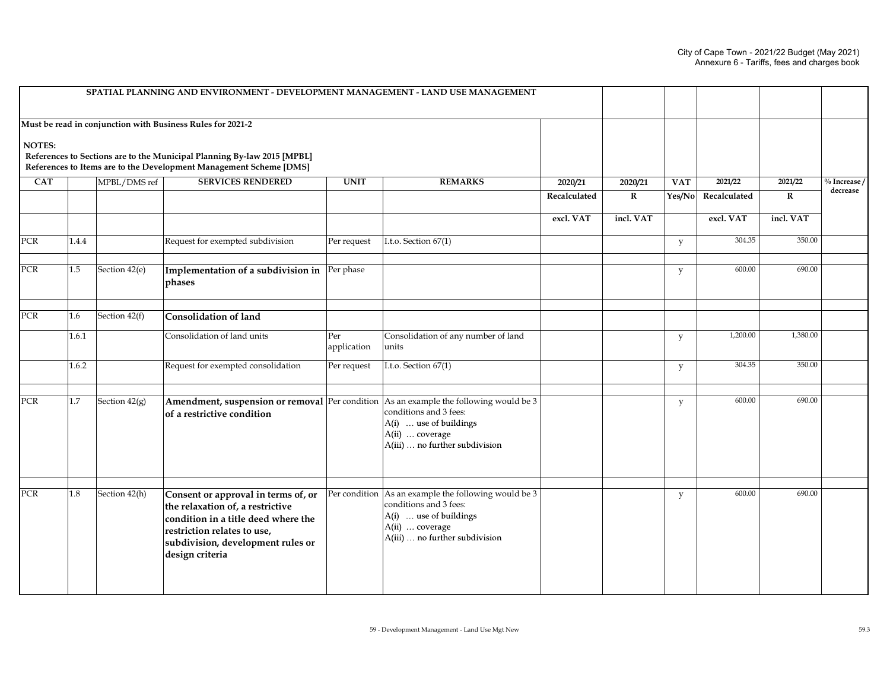|            |       |                 | SPATIAL PLANNING AND ENVIRONMENT - DEVELOPMENT MANAGEMENT - LAND USE MANAGEMENT                                                                                                                       |                    |                                                                                                                                                               |              |             |            |              |             |                |
|------------|-------|-----------------|-------------------------------------------------------------------------------------------------------------------------------------------------------------------------------------------------------|--------------------|---------------------------------------------------------------------------------------------------------------------------------------------------------------|--------------|-------------|------------|--------------|-------------|----------------|
|            |       |                 | Must be read in conjunction with Business Rules for 2021-2                                                                                                                                            |                    |                                                                                                                                                               |              |             |            |              |             |                |
| NOTES:     |       |                 | References to Sections are to the Municipal Planning By-law 2015 [MPBL]<br>References to Items are to the Development Management Scheme [DMS]                                                         |                    |                                                                                                                                                               |              |             |            |              |             |                |
| <b>CAT</b> |       | MPBL/DMS ref    | <b>SERVICES RENDERED</b>                                                                                                                                                                              | <b>UNIT</b>        | <b>REMARKS</b>                                                                                                                                                | 2020/21      | 2020/21     | <b>VAT</b> | 2021/22      | 2021/22     | $%$ Increase / |
|            |       |                 |                                                                                                                                                                                                       |                    |                                                                                                                                                               | Recalculated | $\mathbf R$ | Yes/No     | Recalculated | $\mathbf R$ | decrease       |
|            |       |                 |                                                                                                                                                                                                       |                    |                                                                                                                                                               | excl. VAT    | incl. VAT   |            | excl. VAT    | incl. VAT   |                |
| <b>PCR</b> | 1.4.4 |                 | Request for exempted subdivision                                                                                                                                                                      | Per request        | I.t.o. Section 67(1)                                                                                                                                          |              |             | y          | 304.35       | 350.00      |                |
| PCR        | 1.5   | Section 42(e)   | <b>Implementation of a subdivision in</b> $\left \text{Per phase}\right $<br>phases                                                                                                                   |                    |                                                                                                                                                               |              |             | y          | 600.00       | 690.00      |                |
| PCR        | 1.6   | Section 42(f)   | <b>Consolidation of land</b>                                                                                                                                                                          |                    |                                                                                                                                                               |              |             |            |              |             |                |
|            | 1.6.1 |                 | Consolidation of land units                                                                                                                                                                           | Per<br>application | Consolidation of any number of land<br>units                                                                                                                  |              |             | y          | 1,200.00     | 1,380.00    |                |
|            | 1.6.2 |                 | Request for exempted consolidation                                                                                                                                                                    | Per request        | I.t.o. Section 67(1)                                                                                                                                          |              |             | y          | 304.35       | 350.00      |                |
| <b>PCR</b> | 1.7   | Section $42(g)$ | Amendment, suspension or removal Per condition As an example the following would be 3<br>of a restrictive condition                                                                                   |                    | conditions and 3 fees:<br>A(i)  use of buildings<br>A(ii)  coverage<br>A(iii)  no further subdivision                                                         |              |             | y          | 600.00       | 690.00      |                |
| PCR        | 1.8   | Section 42(h)   | Consent or approval in terms of, or<br>the relaxation of, a restrictive<br>condition in a title deed where the<br>restriction relates to use,<br>subdivision, development rules or<br>design criteria |                    | Per condition As an example the following would be 3<br>conditions and 3 fees:<br>A(i)  use of buildings<br>A(ii)  coverage<br>A(iii)  no further subdivision |              |             | y          | 600.00       | 690.00      |                |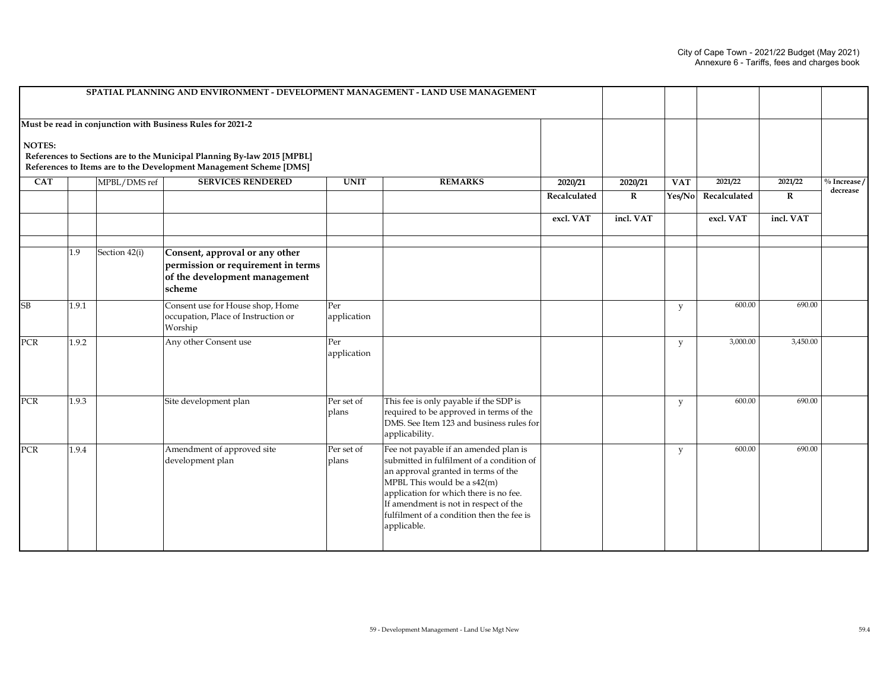|               |       |               | SPATIAL PLANNING AND ENVIRONMENT - DEVELOPMENT MANAGEMENT - LAND USE MANAGEMENT                                                                                                                             |                     |                                                                                                                                                                                                                                                                                                         |              |             |            |              |             |                 |
|---------------|-------|---------------|-------------------------------------------------------------------------------------------------------------------------------------------------------------------------------------------------------------|---------------------|---------------------------------------------------------------------------------------------------------------------------------------------------------------------------------------------------------------------------------------------------------------------------------------------------------|--------------|-------------|------------|--------------|-------------|-----------------|
| <b>NOTES:</b> |       |               | Must be read in conjunction with Business Rules for 2021-2<br>References to Sections are to the Municipal Planning By-law 2015 [MPBL]<br>References to Items are to the Development Management Scheme [DMS] |                     |                                                                                                                                                                                                                                                                                                         |              |             |            |              |             |                 |
| <b>CAT</b>    |       | MPBL/DMS ref  | <b>SERVICES RENDERED</b>                                                                                                                                                                                    | <b>UNIT</b>         | <b>REMARKS</b>                                                                                                                                                                                                                                                                                          | 2020/21      | 2020/21     | <b>VAT</b> | 2021/22      | 2021/22     | $\%$ Increase / |
|               |       |               |                                                                                                                                                                                                             |                     |                                                                                                                                                                                                                                                                                                         | Recalculated | $\mathbf R$ | Yes/No     | Recalculated | $\mathbf R$ | decrease        |
|               |       |               |                                                                                                                                                                                                             |                     |                                                                                                                                                                                                                                                                                                         | excl. VAT    | incl. VAT   |            | excl. VAT    | incl. VAT   |                 |
|               | 1.9   | Section 42(i) | Consent, approval or any other<br>permission or requirement in terms<br>of the development management<br>scheme                                                                                             |                     |                                                                                                                                                                                                                                                                                                         |              |             |            |              |             |                 |
| SB            | 1.9.1 |               | Consent use for House shop, Home<br>occupation, Place of Instruction or<br>Worship                                                                                                                          | Per<br>application  |                                                                                                                                                                                                                                                                                                         |              |             | y          | 600.00       | 690.00      |                 |
| <b>PCR</b>    | 1.9.2 |               | Any other Consent use                                                                                                                                                                                       | Per<br>application  |                                                                                                                                                                                                                                                                                                         |              |             | y          | 3,000.00     | 3,450.00    |                 |
| PCR           | 1.9.3 |               | Site development plan                                                                                                                                                                                       | Per set of<br>plans | This fee is only payable if the SDP is<br>required to be approved in terms of the<br>DMS. See Item 123 and business rules for<br>applicability.                                                                                                                                                         |              |             | y          | 600.00       | 690.00      |                 |
| <b>PCR</b>    | 1.9.4 |               | Amendment of approved site<br>development plan                                                                                                                                                              | Per set of<br>plans | Fee not payable if an amended plan is<br>submitted in fulfilment of a condition of<br>an approval granted in terms of the<br>MPBL This would be a s42(m)<br>application for which there is no fee.<br>If amendment is not in respect of the<br>fulfilment of a condition then the fee is<br>applicable. |              |             | y          | 600.00       | 690.00      |                 |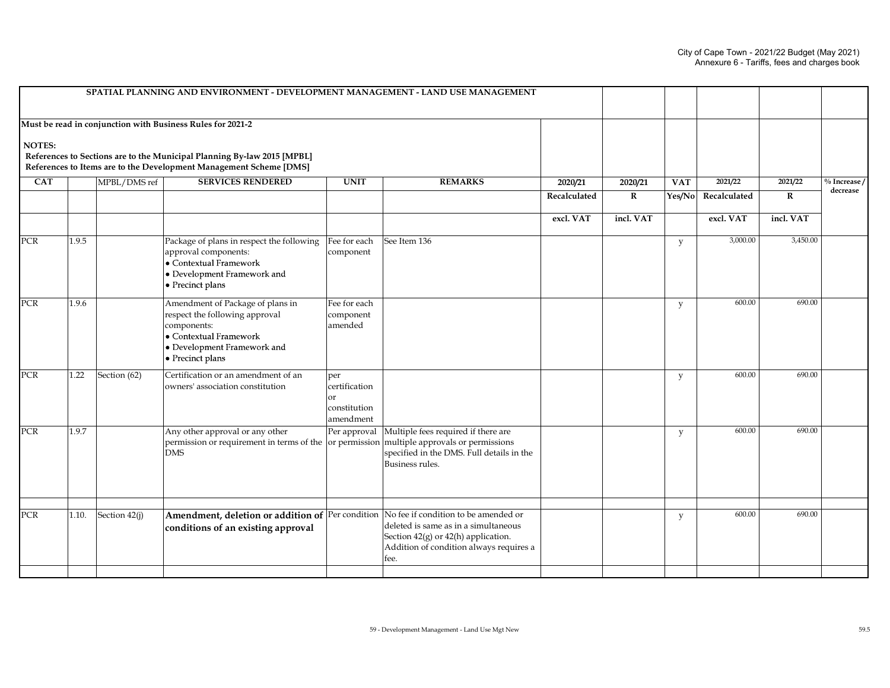|               |       |               | SPATIAL PLANNING AND ENVIRONMENT - DEVELOPMENT MANAGEMENT - LAND USE MANAGEMENT                                                                                |                                                                    |                                                                                                                                                        |              |              |            |              |           |                |
|---------------|-------|---------------|----------------------------------------------------------------------------------------------------------------------------------------------------------------|--------------------------------------------------------------------|--------------------------------------------------------------------------------------------------------------------------------------------------------|--------------|--------------|------------|--------------|-----------|----------------|
|               |       |               | Must be read in conjunction with Business Rules for 2021-2                                                                                                     |                                                                    |                                                                                                                                                        |              |              |            |              |           |                |
| <b>NOTES:</b> |       |               | References to Sections are to the Municipal Planning By-law 2015 [MPBL]<br>References to Items are to the Development Management Scheme [DMS]                  |                                                                    |                                                                                                                                                        |              |              |            |              |           |                |
| <b>CAT</b>    |       | MPBL/DMS ref  | <b>SERVICES RENDERED</b>                                                                                                                                       | <b>UNIT</b>                                                        | <b>REMARKS</b>                                                                                                                                         | 2020/21      | 2020/21      | <b>VAT</b> | 2021/22      | 2021/22   | $%$ Increase / |
|               |       |               |                                                                                                                                                                |                                                                    |                                                                                                                                                        | Recalculated | $\mathbf{R}$ | Yes/No     | Recalculated | $\bf{R}$  | decrease       |
|               |       |               |                                                                                                                                                                |                                                                    |                                                                                                                                                        | excl. VAT    | incl. VAT    |            | excl. VAT    | incl. VAT |                |
| <b>PCR</b>    | 1.9.5 |               | Package of plans in respect the following<br>approval components:<br>$\bullet$ Contextual Framework<br>• Development Framework and<br>• Precinct plans         | Fee for each<br>component                                          | See Item 136                                                                                                                                           |              |              | y          | 3,000.00     | 3,450.00  |                |
| PCR           | 1.9.6 |               | Amendment of Package of plans in<br>respect the following approval<br>components:<br>• Contextual Framework<br>• Development Framework and<br>• Precinct plans | Fee for each<br>component<br>amended                               |                                                                                                                                                        |              |              | y          | 600.00       | 690.00    |                |
| PCR           | 1.22  | Section (62)  | Certification or an amendment of an<br>owners' association constitution                                                                                        | per<br>certification<br><sub>or</sub><br>constitution<br>amendment |                                                                                                                                                        |              |              | у          | 600.00       | 690.00    |                |
| <b>PCR</b>    | 1.9.7 |               | Any other approval or any other<br>permission or requirement in terms of the<br><b>DMS</b>                                                                     | Per approval                                                       | Multiple fees required if there are<br>or permission multiple approvals or permissions<br>specified in the DMS. Full details in the<br>Business rules. |              |              | y          | 600.00       | 690.00    |                |
|               |       |               |                                                                                                                                                                |                                                                    |                                                                                                                                                        |              |              |            |              |           |                |
| <b>PCR</b>    | 1.10. | Section 42(j) | Amendment, deletion or addition of Per condition No fee if condition to be amended or<br>conditions of an existing approval                                    |                                                                    | deleted is same as in a simultaneous<br>Section $42(g)$ or $42(h)$ application.<br>Addition of condition always requires a<br>fee.                     |              |              | y          | 600.00       | 690.00    |                |
|               |       |               |                                                                                                                                                                |                                                                    |                                                                                                                                                        |              |              |            |              |           |                |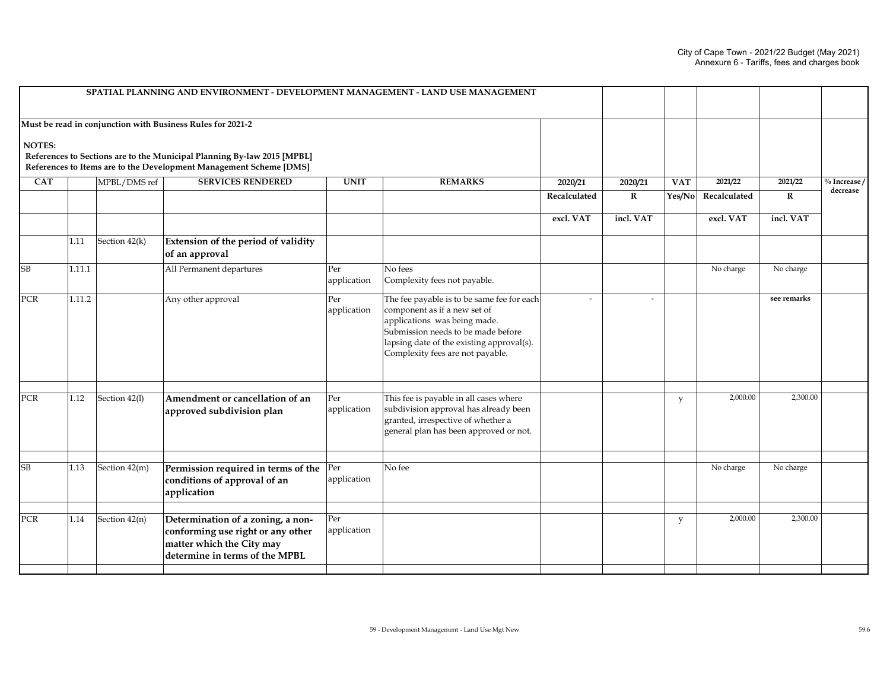|            |        |               | SPATIAL PLANNING AND ENVIRONMENT - DEVELOPMENT MANAGEMENT - LAND USE MANAGEMENT                                                               |                    |                                                                                                                                                                                                                                   |              |           |            |              |             |                 |
|------------|--------|---------------|-----------------------------------------------------------------------------------------------------------------------------------------------|--------------------|-----------------------------------------------------------------------------------------------------------------------------------------------------------------------------------------------------------------------------------|--------------|-----------|------------|--------------|-------------|-----------------|
|            |        |               | Must be read in conjunction with Business Rules for 2021-2                                                                                    |                    |                                                                                                                                                                                                                                   |              |           |            |              |             |                 |
| NOTES:     |        |               | References to Sections are to the Municipal Planning By-law 2015 [MPBL]<br>References to Items are to the Development Management Scheme [DMS] |                    |                                                                                                                                                                                                                                   |              |           |            |              |             |                 |
| <b>CAT</b> |        | MPBL/DMS ref  | <b>SERVICES RENDERED</b>                                                                                                                      | <b>UNIT</b>        | <b>REMARKS</b>                                                                                                                                                                                                                    | 2020/21      | 2020/21   | <b>VAT</b> | 2021/22      | 2021/22     | $\%$ Increase / |
|            |        |               |                                                                                                                                               |                    |                                                                                                                                                                                                                                   | Recalculated | $\bf R$   | Yes/No     | Recalculated | $\mathbf R$ | decrease        |
|            |        |               |                                                                                                                                               |                    |                                                                                                                                                                                                                                   | excl. VAT    | incl. VAT |            | excl. VAT    | incl. VAT   |                 |
|            | 1.11   | Section 42(k) | Extension of the period of validity<br>of an approval                                                                                         |                    |                                                                                                                                                                                                                                   |              |           |            |              |             |                 |
| <b>SB</b>  | 1.11.1 |               | All Permanent departures                                                                                                                      | Per<br>application | No fees<br>Complexity fees not payable.                                                                                                                                                                                           |              |           |            | No charge    | No charge   |                 |
| <b>PCR</b> | 1.11.2 |               | Any other approval                                                                                                                            | Per<br>application | The fee payable is to be same fee for each<br>component as if a new set of<br>applications was being made.<br>Submission needs to be made before<br>lapsing date of the existing approval(s).<br>Complexity fees are not payable. | $\sim$       |           |            |              | see remarks |                 |
| <b>PCR</b> | 1.12   | Section 42(l) | Amendment or cancellation of an<br>approved subdivision plan                                                                                  | Per<br>application | This fee is payable in all cases where<br>subdivision approval has already been<br>granted, irrespective of whether a<br>general plan has been approved or not.                                                                   |              |           | y          | 2,000.00     | 2,300.00    |                 |
| <b>SB</b>  | 1.13   | Section 42(m) | Permission required in terms of the<br>conditions of approval of an<br>application                                                            | Per<br>application | No fee                                                                                                                                                                                                                            |              |           |            | No charge    | No charge   |                 |
| <b>PCR</b> | 1.14   | Section 42(n) | Determination of a zoning, a non-<br>conforming use right or any other<br>matter which the City may<br>determine in terms of the MPBL         | Per<br>application |                                                                                                                                                                                                                                   |              |           | y          | 2,000.00     | 2,300.00    |                 |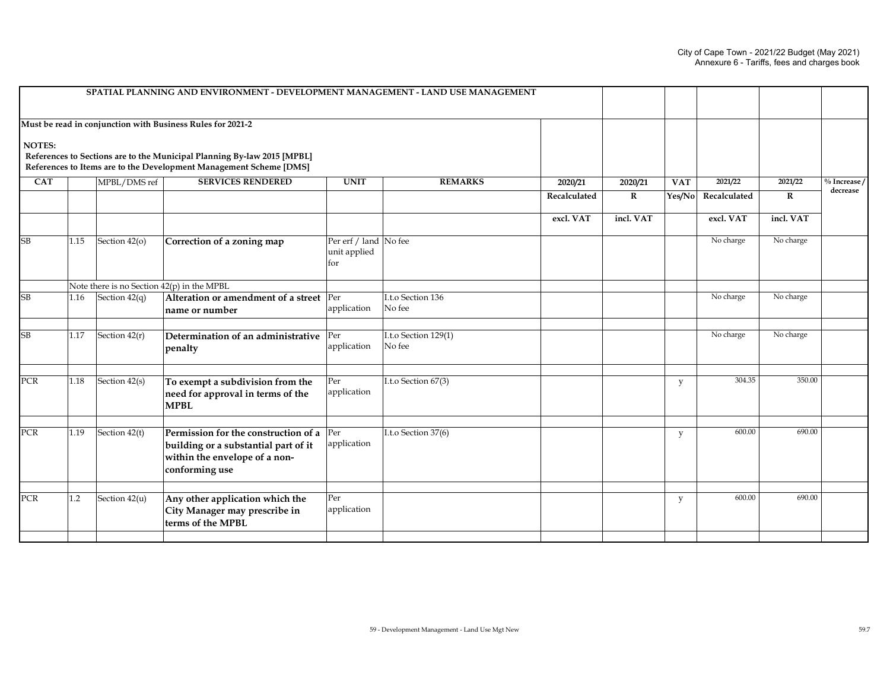|               |      |                                            | SPATIAL PLANNING AND ENVIRONMENT - DEVELOPMENT MANAGEMENT - LAND USE MANAGEMENT                                                                                                                             |                                              |                                |              |              |            |              |             |                           |
|---------------|------|--------------------------------------------|-------------------------------------------------------------------------------------------------------------------------------------------------------------------------------------------------------------|----------------------------------------------|--------------------------------|--------------|--------------|------------|--------------|-------------|---------------------------|
| <b>NOTES:</b> |      |                                            | Must be read in conjunction with Business Rules for 2021-2<br>References to Sections are to the Municipal Planning By-law 2015 [MPBL]<br>References to Items are to the Development Management Scheme [DMS] |                                              |                                |              |              |            |              |             |                           |
| <b>CAT</b>    |      | MPBL/DMS ref                               | <b>SERVICES RENDERED</b>                                                                                                                                                                                    | <b>UNIT</b>                                  | <b>REMARKS</b>                 | 2020/21      | 2020/21      | <b>VAT</b> | 2021/22      | 2021/22     | $\frac{0}{10}$ Increase / |
|               |      |                                            |                                                                                                                                                                                                             |                                              |                                | Recalculated | $\mathbf{R}$ | Yes/No     | Recalculated | $\mathbf R$ | decrease                  |
|               |      |                                            |                                                                                                                                                                                                             |                                              |                                | excl. VAT    | incl. VAT    |            | excl. VAT    | incl. VAT   |                           |
| SB            | 1.15 | Section 42(o)                              | Correction of a zoning map                                                                                                                                                                                  | Per erf / land No fee<br>unit applied<br>for |                                |              |              |            | No charge    | No charge   |                           |
|               |      | Note there is no Section 42(p) in the MPBL |                                                                                                                                                                                                             |                                              |                                |              |              |            |              |             |                           |
| SB            | 1.16 | Section $42(q)$                            | Alteration or amendment of a street Per<br>name or number                                                                                                                                                   | application                                  | I.t.o Section 136<br>No fee    |              |              |            | No charge    | No charge   |                           |
| SB            | 1.17 | Section 42(r)                              | Determination of an administrative<br>penalty                                                                                                                                                               | Per<br>application                           | I.t.o Section 129(1)<br>No fee |              |              |            | No charge    | No charge   |                           |
| PCR           | 1.18 | Section 42(s)                              | To exempt a subdivision from the<br>need for approval in terms of the<br><b>MPBL</b>                                                                                                                        | Per<br>application                           | I.t.o Section 67(3)            |              |              | y          | 304.35       | 350.00      |                           |
| PCR           | 1.19 | Section 42(t)                              | Permission for the construction of a<br>building or a substantial part of it<br>within the envelope of a non-<br>conforming use                                                                             | Per<br>application                           | I.t.o Section 37(6)            |              |              | y          | 600.00       | 690.00      |                           |
|               |      |                                            |                                                                                                                                                                                                             |                                              |                                |              |              |            |              |             |                           |
| <b>PCR</b>    | 1.2  | Section 42(u)                              | Any other application which the<br>City Manager may prescribe in<br>terms of the MPBL                                                                                                                       | Per<br>application                           |                                |              |              | y          | 600.00       | 690.00      |                           |
|               |      |                                            |                                                                                                                                                                                                             |                                              |                                |              |              |            |              |             |                           |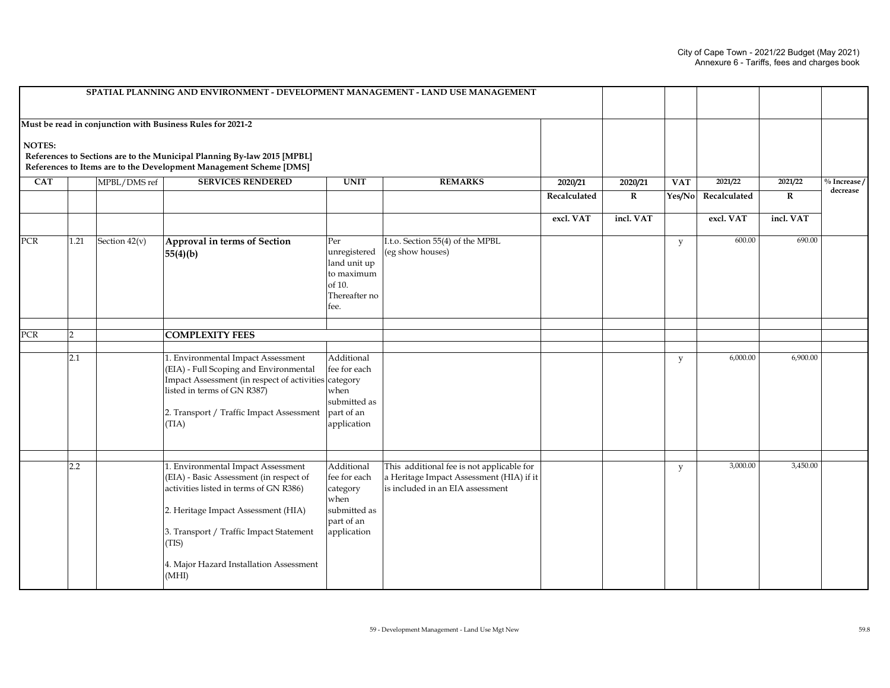|            |      |               | SPATIAL PLANNING AND ENVIRONMENT - DEVELOPMENT MANAGEMENT - LAND USE MANAGEMENT                                                                                                                                                                                        |                                                                                             |                                                                                                                           |              |             |            |              |             |                             |
|------------|------|---------------|------------------------------------------------------------------------------------------------------------------------------------------------------------------------------------------------------------------------------------------------------------------------|---------------------------------------------------------------------------------------------|---------------------------------------------------------------------------------------------------------------------------|--------------|-------------|------------|--------------|-------------|-----------------------------|
|            |      |               | Must be read in conjunction with Business Rules for 2021-2                                                                                                                                                                                                             |                                                                                             |                                                                                                                           |              |             |            |              |             |                             |
| NOTES:     |      |               | References to Sections are to the Municipal Planning By-law 2015 [MPBL]<br>References to Items are to the Development Management Scheme [DMS]                                                                                                                          |                                                                                             |                                                                                                                           |              |             |            |              |             |                             |
| <b>CAT</b> |      | MPBL/DMS ref  | <b>SERVICES RENDERED</b>                                                                                                                                                                                                                                               | <b>UNIT</b>                                                                                 | <b>REMARKS</b>                                                                                                            | 2020/21      | 2020/21     | <b>VAT</b> | 2021/22      | 2021/22     | $\%$ Increase /<br>decrease |
|            |      |               |                                                                                                                                                                                                                                                                        |                                                                                             |                                                                                                                           | Recalculated | $\mathbf R$ | Yes/No     | Recalculated | $\mathbf R$ |                             |
|            |      |               |                                                                                                                                                                                                                                                                        |                                                                                             |                                                                                                                           | excl. VAT    | incl. VAT   |            | excl. VAT    | incl. VAT   |                             |
| PCR        | 1.21 | Section 42(v) | Approval in terms of Section<br>55(4)(b)                                                                                                                                                                                                                               | Per<br>unregistered<br>land unit up<br>to maximum<br>of $10$ .<br>Thereafter no<br>fee.     | I.t.o. Section 55(4) of the MPBL<br>(eg show houses)                                                                      |              |             | y          | 600.00       | 690.00      |                             |
| PCR        | 2    |               | <b>COMPLEXITY FEES</b>                                                                                                                                                                                                                                                 |                                                                                             |                                                                                                                           |              |             |            |              |             |                             |
|            |      |               |                                                                                                                                                                                                                                                                        |                                                                                             |                                                                                                                           |              |             |            |              |             |                             |
|            | 2.1  |               | 1. Environmental Impact Assessment<br>(EIA) - Full Scoping and Environmental<br>Impact Assessment (in respect of activities category<br>listed in terms of GN R387)<br>2. Transport / Traffic Impact Assessment<br>(TIA)                                               | Additional<br>fee for each<br>when<br>submitted as<br>part of an<br>application             |                                                                                                                           |              |             | y          | 6,000.00     | 6,900.00    |                             |
|            |      |               |                                                                                                                                                                                                                                                                        |                                                                                             |                                                                                                                           |              |             |            |              |             |                             |
|            | 2.2  |               | 1. Environmental Impact Assessment<br>(EIA) - Basic Assessment (in respect of<br>activities listed in terms of GN R386)<br>2. Heritage Impact Assessment (HIA)<br>3. Transport / Traffic Impact Statement<br>(TIS)<br>4. Major Hazard Installation Assessment<br>(MHI) | Additional<br>fee for each<br>category<br>when<br>submitted as<br>part of an<br>application | This additional fee is not applicable for<br>a Heritage Impact Assessment (HIA) if it<br>is included in an EIA assessment |              |             | y          | 3.000.00     | 3,450.00    |                             |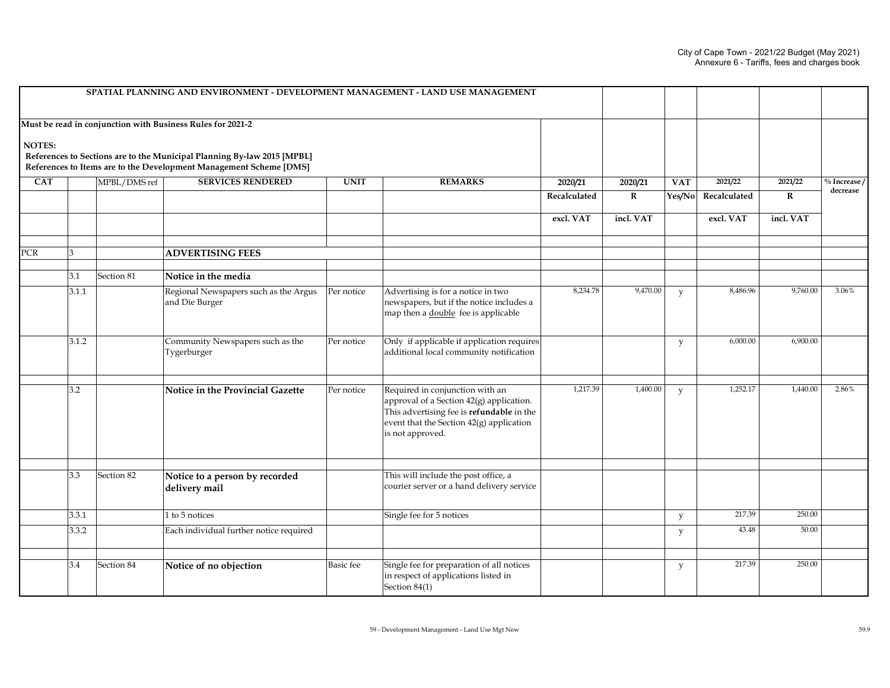|            |       |              | SPATIAL PLANNING AND ENVIRONMENT - DEVELOPMENT MANAGEMENT - LAND USE MANAGEMENT                                                               |                  |                                                                                                                                                                                          |              |              |            |              |             |              |
|------------|-------|--------------|-----------------------------------------------------------------------------------------------------------------------------------------------|------------------|------------------------------------------------------------------------------------------------------------------------------------------------------------------------------------------|--------------|--------------|------------|--------------|-------------|--------------|
|            |       |              | Must be read in conjunction with Business Rules for 2021-2                                                                                    |                  |                                                                                                                                                                                          |              |              |            |              |             |              |
| NOTES:     |       |              | References to Sections are to the Municipal Planning By-law 2015 [MPBL]<br>References to Items are to the Development Management Scheme [DMS] |                  |                                                                                                                                                                                          |              |              |            |              |             |              |
| <b>CAT</b> |       | MPBL/DMS ref | <b>SERVICES RENDERED</b>                                                                                                                      | <b>UNIT</b>      | <b>REMARKS</b>                                                                                                                                                                           | 2020/21      | 2020/21      | <b>VAT</b> | 2021/22      | 2021/22     | % Increase / |
|            |       |              |                                                                                                                                               |                  |                                                                                                                                                                                          | Recalculated | $\mathbf{R}$ | Yes/No     | Recalculated | $\mathbf R$ | decrease     |
|            |       |              |                                                                                                                                               |                  |                                                                                                                                                                                          | excl. VAT    | incl. VAT    |            | excl. VAT    | incl. VAT   |              |
| PCR        | κ     |              | <b>ADVERTISING FEES</b>                                                                                                                       |                  |                                                                                                                                                                                          |              |              |            |              |             |              |
|            | 3.1   | Section 81   | Notice in the media                                                                                                                           |                  |                                                                                                                                                                                          |              |              |            |              |             |              |
|            | 3.1.1 |              | Regional Newspapers such as the Argus<br>and Die Burger                                                                                       | Per notice       | Advertising is for a notice in two<br>newspapers, but if the notice includes a<br>map then a double fee is applicable                                                                    | 8,234.78     | 9,470.00     | y          | 8,486.96     | 9,760.00    | 3.06%        |
|            | 3.1.2 |              | Community Newspapers such as the<br>Tygerburger                                                                                               | Per notice       | Only if applicable if application requires<br>additional local community notification                                                                                                    |              |              | y          | 6,000.00     | 6,900.00    |              |
|            | 3.2   |              | <b>Notice in the Provincial Gazette</b>                                                                                                       | Per notice       | Required in conjunction with an<br>approval of a Section 42(g) application.<br>This advertising fee is refundable in the<br>event that the Section 42(g) application<br>is not approved. | 1,217.39     | 1,400.00     | y          | 1,252.17     | 1,440.00    | 2.86%        |
|            | 3.3   | Section 82   | Notice to a person by recorded<br>delivery mail                                                                                               |                  | This will include the post office, a<br>courier server or a hand delivery service                                                                                                        |              |              |            |              |             |              |
|            | 3.3.1 |              | 1 to 5 notices                                                                                                                                |                  | Single fee for 5 notices                                                                                                                                                                 |              |              | y          | 217.39       | 250.00      |              |
|            | 3.3.2 |              | Each individual further notice required                                                                                                       |                  |                                                                                                                                                                                          |              |              | y          | 43.48        | 50.00       |              |
|            |       |              |                                                                                                                                               |                  |                                                                                                                                                                                          |              |              |            |              |             |              |
|            | 3.4   | Section 84   | Notice of no objection                                                                                                                        | <b>Basic</b> fee | Single fee for preparation of all notices<br>in respect of applications listed in<br>Section 84(1)                                                                                       |              |              | y          | 217.39       | 250.00      |              |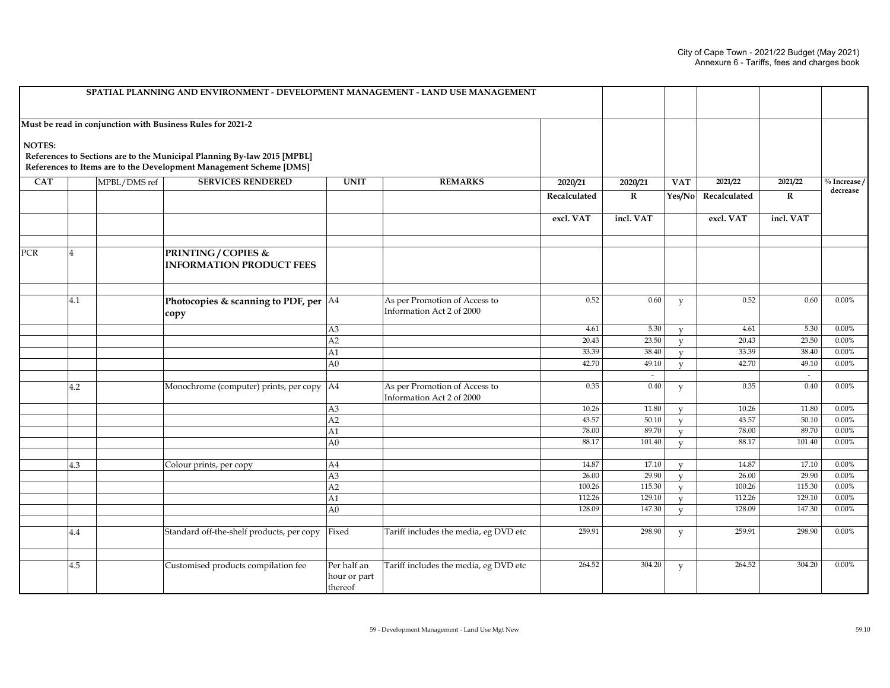|            |     |              | SPATIAL PLANNING AND ENVIRONMENT - DEVELOPMENT MANAGEMENT - LAND USE MANAGEMENT                                                               |                                        |                                                            |                  |                  |                         |                  |                  |                |
|------------|-----|--------------|-----------------------------------------------------------------------------------------------------------------------------------------------|----------------------------------------|------------------------------------------------------------|------------------|------------------|-------------------------|------------------|------------------|----------------|
|            |     |              | Must be read in conjunction with Business Rules for 2021-2                                                                                    |                                        |                                                            |                  |                  |                         |                  |                  |                |
| NOTES:     |     |              | References to Sections are to the Municipal Planning By-law 2015 [MPBL]<br>References to Items are to the Development Management Scheme [DMS] |                                        |                                                            |                  |                  |                         |                  |                  |                |
| <b>CAT</b> |     | MPBL/DMS ref | <b>SERVICES RENDERED</b>                                                                                                                      | <b>UNIT</b>                            | <b>REMARKS</b>                                             | 2020/21          | 2020/21          | <b>VAT</b>              | 2021/22          | 2021/22          | $\%$ Increase/ |
|            |     |              |                                                                                                                                               |                                        |                                                            | Recalculated     | $\mathbf R$      | Yes/No                  | Recalculated     | ${\bf R}$        | decrease       |
|            |     |              |                                                                                                                                               |                                        |                                                            | excl. VAT        | incl. VAT        |                         | excl. VAT        | incl. VAT        |                |
| PCR        |     |              | <b>PRINTING/COPIES &amp;</b><br><b>INFORMATION PRODUCT FEES</b>                                                                               |                                        |                                                            |                  |                  |                         |                  |                  |                |
|            | 4.1 |              | Photocopies & scanning to PDF, per $ AA $<br>copy                                                                                             |                                        | As per Promotion of Access to<br>Information Act 2 of 2000 | 0.52             | 0.60             | y                       | 0.52             | 0.60             | $0.00\%$       |
|            |     |              |                                                                                                                                               | A <sub>3</sub>                         |                                                            | 4.61             | 5.30             | $\mathbf{V}$            | 4.61             | 5.30             | 0.00%          |
|            |     |              |                                                                                                                                               | A2                                     |                                                            | 20.43            | 23.50            | $\mathbf{V}$            | 20.43            | 23.50            | 0.00%          |
|            |     |              |                                                                                                                                               | A1                                     |                                                            | 33.39            | 38.40            | $\mathbf{V}$            | 33.39            | 38.40            | 0.00%          |
|            |     |              |                                                                                                                                               | A <sub>0</sub>                         |                                                            | 42.70            | 49.10            | $\mathbf{V}$            | 42.70            | 49.10            | 0.00%          |
|            |     |              |                                                                                                                                               |                                        |                                                            |                  | $\sim$           |                         |                  | $\sim$           |                |
|            | 4.2 |              | Monochrome (computer) prints, per copy                                                                                                        | AA                                     | As per Promotion of Access to<br>Information Act 2 of 2000 | 0.35             | 0.40             | y                       | 0.35             | 0.40             | $0.00\%$       |
|            |     |              |                                                                                                                                               | $\overline{A3}$                        |                                                            | 10.26            | 11.80            | $\mathbf{V}$            | 10.26            | 11.80            | 0.00%          |
|            |     |              |                                                                                                                                               | A2                                     |                                                            | 43.57            | 50.10            | $\overline{\mathbf{V}}$ | 43.57            | 50.10            | 0.00%          |
|            |     |              |                                                                                                                                               | A1                                     |                                                            | 78.00            | 89.70            | $\mathbf{V}$            | 78.00            | 89.70            | 0.00%          |
|            |     |              |                                                                                                                                               | A <sub>0</sub>                         |                                                            | 88.17            | 101.40           | $\mathbf v$             | 88.17            | 101.40           | 0.00%          |
|            |     |              |                                                                                                                                               |                                        |                                                            |                  |                  |                         |                  |                  |                |
|            | 4.3 |              | Colour prints, per copy                                                                                                                       | A4                                     |                                                            | 14.87            | 17.10            | $\overline{\mathbf{V}}$ | 14.87            | 17.10            | 0.00%          |
|            |     |              |                                                                                                                                               | A3                                     |                                                            | 26.00            | 29.90            | $\mathbf v$             | 26.00            | 29.90            | 0.00%          |
|            |     |              |                                                                                                                                               | A2                                     |                                                            | 100.26<br>112.26 | 115.30<br>129.10 | $\mathbf v$             | 100.26<br>112.26 | 115.30<br>129.10 | 0.00%<br>0.00% |
|            |     |              |                                                                                                                                               | A1                                     |                                                            | 128.09           |                  | $\mathbf{V}$            | 128.09           | 147.30           | 0.00%          |
|            |     |              |                                                                                                                                               | A0                                     |                                                            |                  | 147.30           | $\mathbf v$             |                  |                  |                |
|            | 4.4 |              | Standard off-the-shelf products, per copy                                                                                                     | Fixed                                  | Tariff includes the media, eg DVD etc                      | 259.91           | 298.90           | y                       | 259.91           | 298.90           | $0.00\%$       |
|            |     |              |                                                                                                                                               |                                        |                                                            |                  |                  |                         |                  |                  |                |
|            | 4.5 |              | Customised products compilation fee                                                                                                           | Per half an<br>hour or part<br>thereof | Tariff includes the media, eg DVD etc                      | 264.52           | 304.20           | y                       | 264.52           | 304.20           | $0.00\%$       |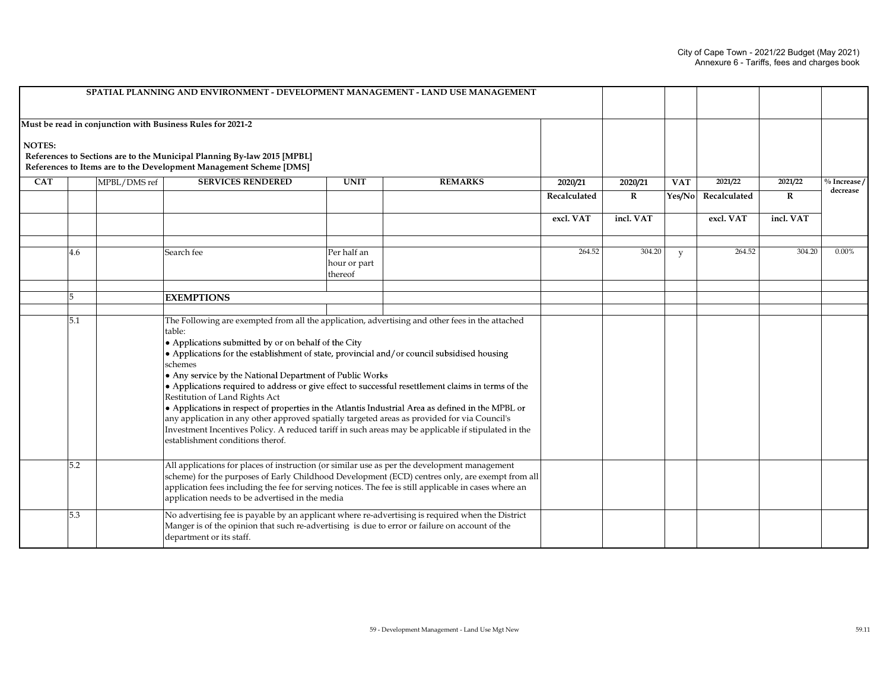|               |     |              | SPATIAL PLANNING AND ENVIRONMENT - DEVELOPMENT MANAGEMENT - LAND USE MANAGEMENT                                                                                                                             |                                                                                                                                                                                                                                                                                                                                                                                                                                                                                                                                                                                                                                                                                                                                       |                |              |             |            |              |           |                 |
|---------------|-----|--------------|-------------------------------------------------------------------------------------------------------------------------------------------------------------------------------------------------------------|---------------------------------------------------------------------------------------------------------------------------------------------------------------------------------------------------------------------------------------------------------------------------------------------------------------------------------------------------------------------------------------------------------------------------------------------------------------------------------------------------------------------------------------------------------------------------------------------------------------------------------------------------------------------------------------------------------------------------------------|----------------|--------------|-------------|------------|--------------|-----------|-----------------|
| <b>NOTES:</b> |     |              | Must be read in conjunction with Business Rules for 2021-2<br>References to Sections are to the Municipal Planning By-law 2015 [MPBL]<br>References to Items are to the Development Management Scheme [DMS] |                                                                                                                                                                                                                                                                                                                                                                                                                                                                                                                                                                                                                                                                                                                                       |                |              |             |            |              |           |                 |
| <b>CAT</b>    |     | MPBL/DMS ref | <b>SERVICES RENDERED</b>                                                                                                                                                                                    | <b>UNIT</b>                                                                                                                                                                                                                                                                                                                                                                                                                                                                                                                                                                                                                                                                                                                           | <b>REMARKS</b> | 2020/21      | 2020/21     | <b>VAT</b> | 2021/22      | 2021/22   | $\%$ Increase / |
|               |     |              |                                                                                                                                                                                                             |                                                                                                                                                                                                                                                                                                                                                                                                                                                                                                                                                                                                                                                                                                                                       |                | Recalculated | $\mathbf R$ | Yes/No     | Recalculated | R         | decrease        |
|               |     |              |                                                                                                                                                                                                             |                                                                                                                                                                                                                                                                                                                                                                                                                                                                                                                                                                                                                                                                                                                                       |                | excl. VAT    | incl. VAT   |            | excl. VAT    | incl. VAT |                 |
|               | 4.6 |              | Search fee                                                                                                                                                                                                  | Per half an<br>hour or part<br>thereof                                                                                                                                                                                                                                                                                                                                                                                                                                                                                                                                                                                                                                                                                                |                |              |             |            | 264.52       | 304.20    | $0.00\%$        |
|               | 5   |              | <b>EXEMPTIONS</b>                                                                                                                                                                                           |                                                                                                                                                                                                                                                                                                                                                                                                                                                                                                                                                                                                                                                                                                                                       |                |              |             |            |              |           |                 |
|               |     |              |                                                                                                                                                                                                             |                                                                                                                                                                                                                                                                                                                                                                                                                                                                                                                                                                                                                                                                                                                                       |                |              |             |            |              |           |                 |
|               | 5.1 |              | table:<br>schemes<br>Restitution of Land Rights Act<br>establishment conditions therof.                                                                                                                     | The Following are exempted from all the application, advertising and other fees in the attached<br>• Applications submitted by or on behalf of the City<br>• Applications for the establishment of state, provincial and/or council subsidised housing<br>• Any service by the National Department of Public Works<br>• Applications required to address or give effect to successful resettlement claims in terms of the<br>• Applications in respect of properties in the Atlantis Industrial Area as defined in the MPBL or<br>any application in any other approved spatially targeted areas as provided for via Council's<br>Investment Incentives Policy. A reduced tariff in such areas may be applicable if stipulated in the |                |              |             |            |              |           |                 |
|               | 5.2 |              |                                                                                                                                                                                                             | All applications for places of instruction (or similar use as per the development management<br>scheme) for the purposes of Early Childhood Development (ECD) centres only, are exempt from all<br>application fees including the fee for serving notices. The fee is still applicable in cases where an<br>application needs to be advertised in the media                                                                                                                                                                                                                                                                                                                                                                           |                |              |             |            |              |           |                 |
|               | 5.3 |              | department or its staff.                                                                                                                                                                                    | No advertising fee is payable by an applicant where re-advertising is required when the District<br>Manger is of the opinion that such re-advertising is due to error or failure on account of the                                                                                                                                                                                                                                                                                                                                                                                                                                                                                                                                    |                |              |             |            |              |           |                 |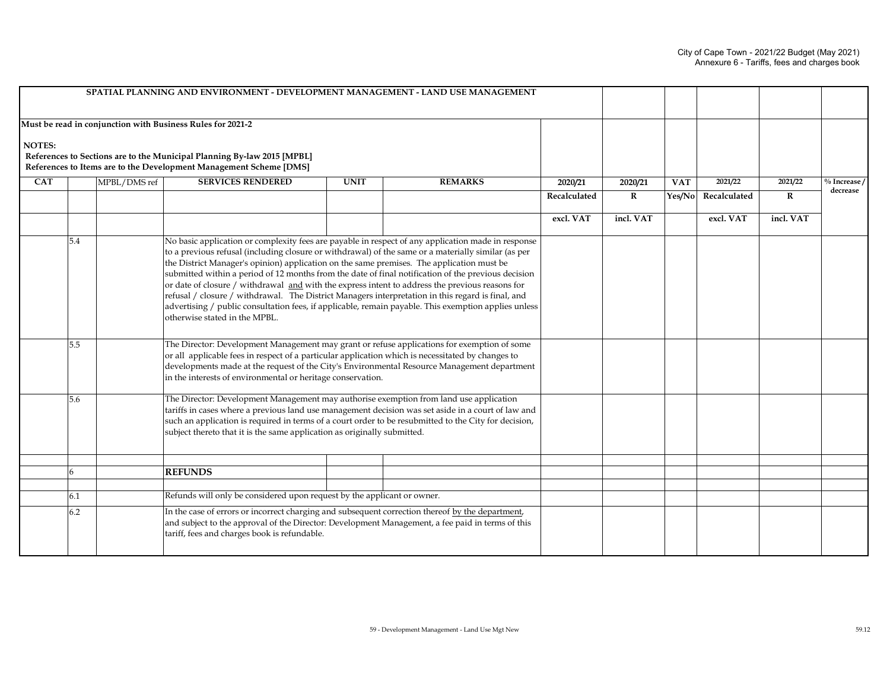|               |     |              | SPATIAL PLANNING AND ENVIRONMENT - DEVELOPMENT MANAGEMENT - LAND USE MANAGEMENT                                                                                                                                                                                                                                                                                                                                                                                                                                                                                                                                                                                                                                                                                |                                                                                                                                                                                                                                                                                                                                                                |                |              |           |            |                     |           |              |
|---------------|-----|--------------|----------------------------------------------------------------------------------------------------------------------------------------------------------------------------------------------------------------------------------------------------------------------------------------------------------------------------------------------------------------------------------------------------------------------------------------------------------------------------------------------------------------------------------------------------------------------------------------------------------------------------------------------------------------------------------------------------------------------------------------------------------------|----------------------------------------------------------------------------------------------------------------------------------------------------------------------------------------------------------------------------------------------------------------------------------------------------------------------------------------------------------------|----------------|--------------|-----------|------------|---------------------|-----------|--------------|
| <b>NOTES:</b> |     |              | Must be read in conjunction with Business Rules for 2021-2<br>References to Sections are to the Municipal Planning By-law 2015 [MPBL]<br>References to Items are to the Development Management Scheme [DMS]                                                                                                                                                                                                                                                                                                                                                                                                                                                                                                                                                    |                                                                                                                                                                                                                                                                                                                                                                |                |              |           |            |                     |           |              |
| <b>CAT</b>    |     | MPBL/DMS ref | <b>SERVICES RENDERED</b>                                                                                                                                                                                                                                                                                                                                                                                                                                                                                                                                                                                                                                                                                                                                       | <b>UNIT</b>                                                                                                                                                                                                                                                                                                                                                    | <b>REMARKS</b> | 2020/21      | 2020/21   | <b>VAT</b> | 2021/22             | 2021/22   | % Increase / |
|               |     |              |                                                                                                                                                                                                                                                                                                                                                                                                                                                                                                                                                                                                                                                                                                                                                                |                                                                                                                                                                                                                                                                                                                                                                |                | Recalculated | $\bf R$   |            | Yes/No Recalculated | R         | decrease     |
|               |     |              |                                                                                                                                                                                                                                                                                                                                                                                                                                                                                                                                                                                                                                                                                                                                                                |                                                                                                                                                                                                                                                                                                                                                                |                | excl. VAT    | incl. VAT |            | excl. VAT           | incl. VAT |              |
|               | 5.4 |              | No basic application or complexity fees are payable in respect of any application made in response<br>to a previous refusal (including closure or withdrawal) of the same or a materially similar (as per<br>the District Manager's opinion) application on the same premises. The application must be<br>submitted within a period of 12 months from the date of final notification of the previous decision<br>or date of closure / withdrawal and with the express intent to address the previous reasons for<br>refusal / closure / withdrawal. The District Managers interpretation in this regard is final, and<br>advertising / public consultation fees, if applicable, remain payable. This exemption applies unless<br>otherwise stated in the MPBL. |                                                                                                                                                                                                                                                                                                                                                                |                |              |           |            |                     |           |              |
|               | 5.5 |              |                                                                                                                                                                                                                                                                                                                                                                                                                                                                                                                                                                                                                                                                                                                                                                | The Director: Development Management may grant or refuse applications for exemption of some<br>or all applicable fees in respect of a particular application which is necessitated by changes to<br>developments made at the request of the City's Environmental Resource Management department<br>in the interests of environmental or heritage conservation. |                |              |           |            |                     |           |              |
|               | 5.6 |              | The Director: Development Management may authorise exemption from land use application<br>tariffs in cases where a previous land use management decision was set aside in a court of law and<br>such an application is required in terms of a court order to be resubmitted to the City for decision,<br>subject thereto that it is the same application as originally submitted.                                                                                                                                                                                                                                                                                                                                                                              |                                                                                                                                                                                                                                                                                                                                                                |                |              |           |            |                     |           |              |
|               |     |              |                                                                                                                                                                                                                                                                                                                                                                                                                                                                                                                                                                                                                                                                                                                                                                |                                                                                                                                                                                                                                                                                                                                                                |                |              |           |            |                     |           |              |
|               | 6   |              | <b>REFUNDS</b>                                                                                                                                                                                                                                                                                                                                                                                                                                                                                                                                                                                                                                                                                                                                                 |                                                                                                                                                                                                                                                                                                                                                                |                |              |           |            |                     |           |              |
|               | 6.1 |              | Refunds will only be considered upon request by the applicant or owner.                                                                                                                                                                                                                                                                                                                                                                                                                                                                                                                                                                                                                                                                                        |                                                                                                                                                                                                                                                                                                                                                                |                |              |           |            |                     |           |              |
|               | 6.2 |              | tariff, fees and charges book is refundable.                                                                                                                                                                                                                                                                                                                                                                                                                                                                                                                                                                                                                                                                                                                   | In the case of errors or incorrect charging and subsequent correction thereof by the department,<br>and subject to the approval of the Director: Development Management, a fee paid in terms of this                                                                                                                                                           |                |              |           |            |                     |           |              |